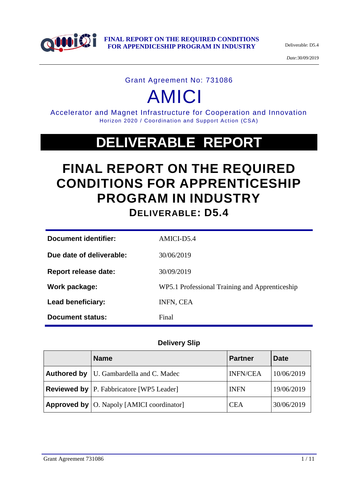

*Date:*30/09/2019

#### Grant Agreement No: 731086

# AMICI

Accelerator and Magnet Infrastructure for Cooperation and Innovation Horizon 2020 / Coordination and Support Action (CSA)

# **DELIVERABLE REPORT**

# **FINAL REPORT ON THE REQUIRED CONDITIONS FOR APPRENTICESHIP PROGRAM IN INDUSTRY DELIVERABLE: D5.4**

| Document identifier:        | AMICI-D5.4                                     |
|-----------------------------|------------------------------------------------|
| Due date of deliverable:    | 30/06/2019                                     |
| <b>Report release date:</b> | 30/09/2019                                     |
| Work package:               | WP5.1 Professional Training and Apprenticeship |
| Lead beneficiary:           | INFN, CEA                                      |
| Document status:            | Final                                          |

### **Delivery Slip**

| <b>Name</b>                                              | <b>Partner</b>  | <b>Date</b> |
|----------------------------------------------------------|-----------------|-------------|
| <b>Authored by</b>   U. Gambardella and C. Madec         | <b>INFN/CEA</b> | 10/06/2019  |
| <b>Reviewed by</b> P. Fabbricatore [WP5 Leader]          | <b>INFN</b>     | 19/06/2019  |
| <b>Approved by</b> $\vert$ O. Napoly [AMICI coordinator] | <b>CEA</b>      | 30/06/2019  |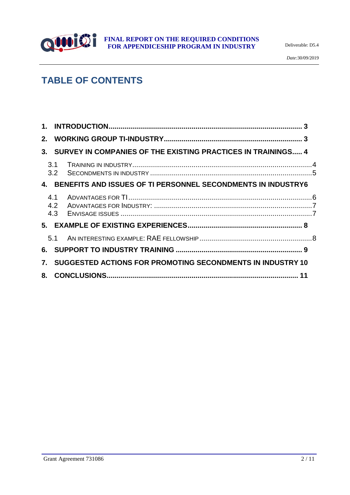

*Date:*30/09/2019

# **TABLE OF CONTENTS**

| $\mathbf 1$ . |                   |                                                              |  |
|---------------|-------------------|--------------------------------------------------------------|--|
| 2.            |                   |                                                              |  |
| 3.            |                   | SURVEY IN COMPANIES OF THE EXISTING PRACTICES IN TRAININGS 4 |  |
|               | 3.1<br>3.2        |                                                              |  |
| 4.            |                   | BENEFITS AND ISSUES OF TI PERSONNEL SECONDMENTS IN INDUSTRY6 |  |
|               | 4.1<br>4.2<br>4.3 |                                                              |  |
|               |                   |                                                              |  |
|               | 5.1               |                                                              |  |
| 6.            |                   |                                                              |  |
| 7.            |                   | SUGGESTED ACTIONS FOR PROMOTING SECONDMENTS IN INDUSTRY 10   |  |
| 8.            |                   |                                                              |  |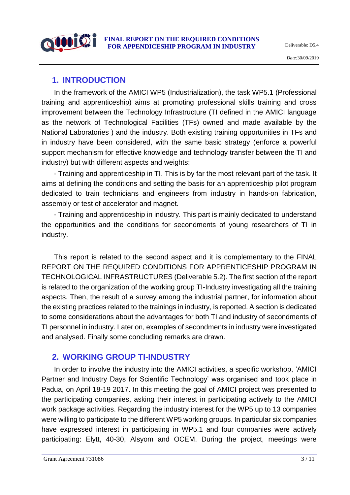# <span id="page-2-0"></span>**1. INTRODUCTION**

In the framework of the AMICI WP5 (Industrialization), the task WP5.1 (Professional training and apprenticeship) aims at promoting professional skills training and cross improvement between the Technology Infrastructure (TI defined in the AMICI language as the network of Technological Facilities (TFs) owned and made available by the National Laboratories ) and the industry. Both existing training opportunities in TFs and in industry have been considered, with the same basic strategy (enforce a powerful support mechanism for effective knowledge and technology transfer between the TI and industry) but with different aspects and weights:

- Training and apprenticeship in TI. This is by far the most relevant part of the task. It aims at defining the conditions and setting the basis for an apprenticeship pilot program dedicated to train technicians and engineers from industry in hands-on fabrication, assembly or test of accelerator and magnet.

- Training and apprenticeship in industry. This part is mainly dedicated to understand the opportunities and the conditions for secondments of young researchers of TI in industry.

This report is related to the second aspect and it is complementary to the FINAL REPORT ON THE REQUIRED CONDITIONS FOR APPRENTICESHIP PROGRAM IN TECHNOLOGICAL INFRASTRUCTURES (Deliverable 5.2). The first section of the report is related to the organization of the working group TI-Industry investigating all the training aspects. Then, the result of a survey among the industrial partner, for information about the existing practices related to the trainings in industry, is reported. A section is dedicated to some considerations about the advantages for both TI and industry of secondments of TI personnel in industry. Later on, examples of secondments in industry were investigated and analysed. Finally some concluding remarks are drawn.

# <span id="page-2-1"></span>**2. WORKING GROUP TI-INDUSTRY**

In order to involve the industry into the AMICI activities, a specific workshop, 'AMICI Partner and Industry Days for Scientific Technology' was organised and took place in Padua, on April 18-19 2017. In this meeting the goal of AMICI project was presented to the participating companies, asking their interest in participating actively to the AMICI work package activities. Regarding the industry interest for the WP5 up to 13 companies were willing to participate to the different WP5 working groups. In particular six companies have expressed interest in participating in WP5.1 and four companies were actively participating: Elytt, 40-30, Alsyom and OCEM. During the project, meetings were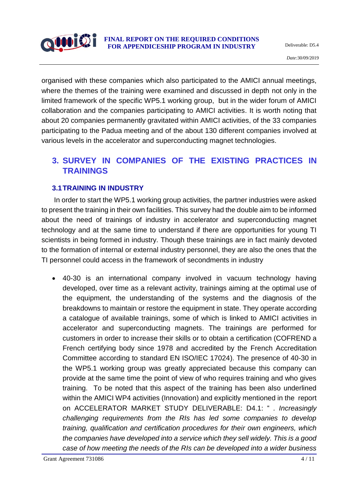

organised with these companies which also participated to the AMICI annual meetings, where the themes of the training were examined and discussed in depth not only in the limited framework of the specific WP5.1 working group, but in the wider forum of AMICI collaboration and the companies participating to AMICI activities. It is worth noting that about 20 companies permanently gravitated within AMICI activities, of the 33 companies participating to the Padua meeting and of the about 130 different companies involved at various levels in the accelerator and superconducting magnet technologies.

# <span id="page-3-0"></span>**3. SURVEY IN COMPANIES OF THE EXISTING PRACTICES IN TRAININGS**

#### <span id="page-3-1"></span>**3.1TRAINING IN INDUSTRY**

In order to start the WP5.1 working group activities, the partner industries were asked to present the training in their own facilities. This survey had the double aim to be informed about the need of trainings of industry in accelerator and superconducting magnet technology and at the same time to understand if there are opportunities for young TI scientists in being formed in industry. Though these trainings are in fact mainly devoted to the formation of internal or external industry personnel, they are also the ones that the TI personnel could access in the framework of secondments in industry

 40-30 is an international company involved in vacuum technology having developed, over time as a relevant activity, trainings aiming at the optimal use of the equipment, the understanding of the systems and the diagnosis of the breakdowns to maintain or restore the equipment in state. They operate according a catalogue of available trainings, some of which is linked to AMICI activities in accelerator and superconducting magnets. The trainings are performed for customers in order to increase their skills or to obtain a certification (COFREND a French certifying body since 1978 and accredited by the French Accreditation Committee according to standard EN ISO/IEC 17024). The presence of 40-30 in the WP5.1 working group was greatly appreciated because this company can provide at the same time the point of view of who requires training and who gives training. To be noted that this aspect of the training has been also underlined within the AMICI WP4 activities (Innovation) and explicitly mentioned in the report on ACCELERATOR MARKET STUDY DELIVERABLE: D4.1: " *. Increasingly challenging requirements from the RIs has led some companies to develop training, qualification and certification procedures for their own engineers, which the companies have developed into a service which they sell widely. This is a good case of how meeting the needs of the RIs can be developed into a wider business*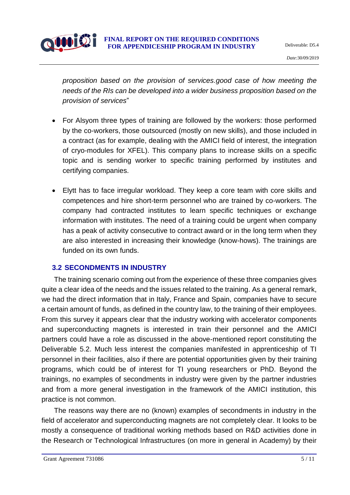

*proposition based on the provision of services.good case of how meeting the needs of the RIs can be developed into a wider business proposition based on the provision of services*"

- For Alsyom three types of training are followed by the workers: those performed by the co-workers, those outsourced (mostly on new skills), and those included in a contract (as for example, dealing with the AMICI field of interest, the integration of cryo-modules for XFEL). This company plans to increase skills on a specific topic and is sending worker to specific training performed by institutes and certifying companies.
- Elytt has to face irregular workload. They keep a core team with core skills and competences and hire short-term personnel who are trained by co-workers. The company had contracted institutes to learn specific techniques or exchange information with institutes. The need of a training could be urgent when company has a peak of activity consecutive to contract award or in the long term when they are also interested in increasing their knowledge (know-hows). The trainings are funded on its own funds.

#### <span id="page-4-0"></span>**3.2 SECONDMENTS IN INDUSTRY**

The training scenario coming out from the experience of these three companies gives quite a clear idea of the needs and the issues related to the training. As a general remark, we had the direct information that in Italy, France and Spain, companies have to secure a certain amount of funds, as defined in the country law, to the training of their employees. From this survey it appears clear that the industry working with accelerator components and superconducting magnets is interested in train their personnel and the AMICI partners could have a role as discussed in the above-mentioned report constituting the Deliverable 5.2. Much less interest the companies manifested in apprenticeship of TI personnel in their facilities, also if there are potential opportunities given by their training programs, which could be of interest for TI young researchers or PhD. Beyond the trainings, no examples of secondments in industry were given by the partner industries and from a more general investigation in the framework of the AMICI institution, this practice is not common.

The reasons way there are no (known) examples of secondments in industry in the field of accelerator and superconducting magnets are not completely clear. It looks to be mostly a consequence of traditional working methods based on R&D activities done in the Research or Technological Infrastructures (on more in general in Academy) by their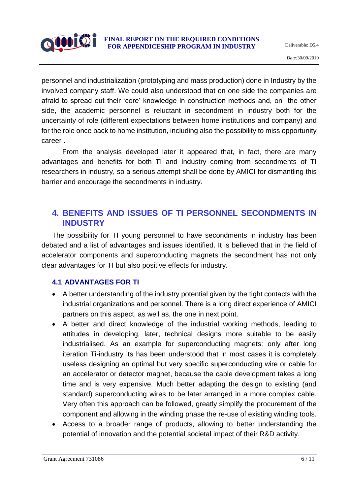

personnel and industrialization (prototyping and mass production) done in Industry by the involved company staff. We could also understood that on one side the companies are afraid to spread out their 'core' knowledge in construction methods and, on the other side, the academic personnel is reluctant in secondment in industry both for the uncertainty of role (different expectations between home institutions and company) and for the role once back to home institution, including also the possibility to miss opportunity career .

From the analysis developed later it appeared that, in fact, there are many advantages and benefits for both TI and Industry coming from secondments of TI researchers in industry, so a serious attempt shall be done by AMICI for dismantling this barrier and encourage the secondments in industry.

# <span id="page-5-0"></span>**4. BENEFITS AND ISSUES OF TI PERSONNEL SECONDMENTS IN INDUSTRY**

The possibility for TI young personnel to have secondments in industry has been debated and a list of advantages and issues identified. It is believed that in the field of accelerator components and superconducting magnets the secondment has not only clear advantages for TI but also positive effects for industry.

### <span id="page-5-1"></span>**4.1 ADVANTAGES FOR TI**

- A better understanding of the industry potential given by the tight contacts with the industrial organizations and personnel. There is a long direct experience of AMICI partners on this aspect, as well as, the one in next point.
- A better and direct knowledge of the industrial working methods, leading to attitudes in developing, later, technical designs more suitable to be easily industrialised. As an example for superconducting magnets: only after long iteration Ti-industry its has been understood that in most cases it is completely useless designing an optimal but very specific superconducting wire or cable for an accelerator or detector magnet, because the cable development takes a long time and is very expensive. Much better adapting the design to existing (and standard) superconducting wires to be later arranged in a more complex cable. Very often this approach can be followed, greatly simplify the procurement of the component and allowing in the winding phase the re-use of existing winding tools.
- Access to a broader range of products, allowing to better understanding the potential of innovation and the potential societal impact of their R&D activity.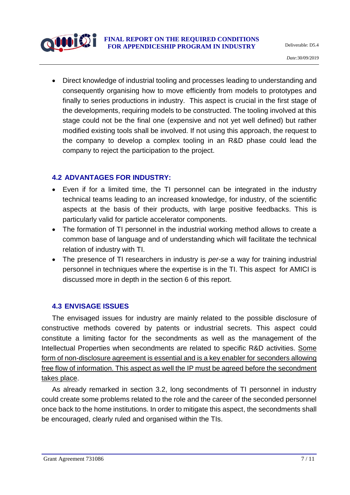

 Direct knowledge of industrial tooling and processes leading to understanding and consequently organising how to move efficiently from models to prototypes and finally to series productions in industry. This aspect is crucial in the first stage of the developments, requiring models to be constructed. The tooling involved at this stage could not be the final one (expensive and not yet well defined) but rather modified existing tools shall be involved. If not using this approach, the request to the company to develop a complex tooling in an R&D phase could lead the company to reject the participation to the project.

#### <span id="page-6-0"></span>**4.2 ADVANTAGES FOR INDUSTRY:**

- Even if for a limited time, the TI personnel can be integrated in the industry technical teams leading to an increased knowledge, for industry, of the scientific aspects at the basis of their products, with large positive feedbacks. This is particularly valid for particle accelerator components.
- The formation of TI personnel in the industrial working method allows to create a common base of language and of understanding which will facilitate the technical relation of industry with TI.
- The presence of TI researchers in industry is *per-se* a way for training industrial personnel in techniques where the expertise is in the TI. This aspect for AMICI is discussed more in depth in the section 6 of this report.

#### <span id="page-6-1"></span>**4.3 ENVISAGE ISSUES**

The envisaged issues for industry are mainly related to the possible disclosure of constructive methods covered by patents or industrial secrets. This aspect could constitute a limiting factor for the secondments as well as the management of the Intellectual Properties when secondments are related to specific R&D activities. Some form of non-disclosure agreement is essential and is a key enabler for seconders allowing free flow of information. This aspect as well the IP must be agreed before the secondment takes place.

As already remarked in section 3.2, long secondments of TI personnel in industry could create some problems related to the role and the career of the seconded personnel once back to the home institutions. In order to mitigate this aspect, the secondments shall be encouraged, clearly ruled and organised within the TIs.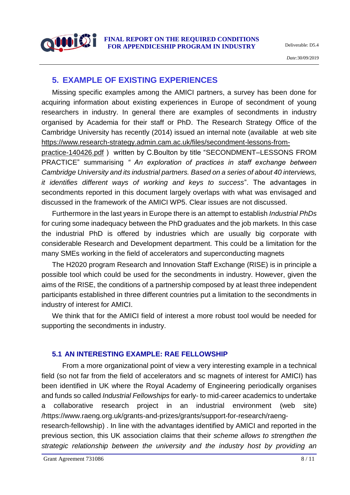

*Date:*30/09/2019

# <span id="page-7-0"></span>**5. EXAMPLE OF EXISTING EXPERIENCES**

Missing specific examples among the AMICI partners, a survey has been done for acquiring information about existing experiences in Europe of secondment of young researchers in industry. In general there are examples of secondments in industry organised by Academia for their staff or PhD. The Research Strategy Office of the Cambridge University has recently (2014) issued an internal note (available at web site [https://www.research-strategy.admin.cam.ac.uk/files/secondment-lessons-from-](https://www.research-strategy.admin.cam.ac.uk/files/secondment-lessons-from-practice-140426.pdf)

[practice-140426.pdf](https://www.research-strategy.admin.cam.ac.uk/files/secondment-lessons-from-practice-140426.pdf) ) written by C.Boulton by title "SECONDMENT–LESSONS FROM PRACTICE" summarising *" An exploration of practices in staff exchange between Cambridge University and its industrial partners. Based on a series of about 40 interviews, it identifies different ways of working and keys to success*". The advantages in secondments reported in this document largely overlaps with what was envisaged and discussed in the framework of the AMICI WP5. Clear issues are not discussed.

Furthermore in the last years in Europe there is an attempt to establish *Industrial PhDs* for curing some inadequacy between the PhD graduates and the job markets. In this case the industrial PhD is offered by industries which are usually big corporate with considerable Research and Development department. This could be a limitation for the many SMEs working in the field of accelerators and superconducting magnets

The H2020 program Research and Innovation Staff Exchange (RISE) is in principle a possible tool which could be used for the secondments in industry. However, given the aims of the RISE, the conditions of a partnership composed by at least three independent participants established in three different countries put a limitation to the secondments in industry of interest for AMICI.

We think that for the AMICI field of interest a more robust tool would be needed for supporting the secondments in industry.

### <span id="page-7-1"></span>**5.1 AN INTERESTING EXAMPLE: RAE FELLOWSHIP**

From a more organizational point of view a very interesting example in a technical field (so not far from the field of accelerators and sc magnets of interest for AMICI) has been identified in UK where the Royal Academy of Engineering periodically organises and funds so called *Industrial Fellowships* for early- to mid-career academics to undertake a collaborative research project in an industrial environment (web site) /https://www.raeng.org.uk/grants-and-prizes/grants/support-for-research/raeng-

research-fellowship) . In line with the advantages identified by AMICI and reported in the previous section, this UK association claims that their *scheme allows to strengthen the strategic relationship between the university and the industry host by providing an*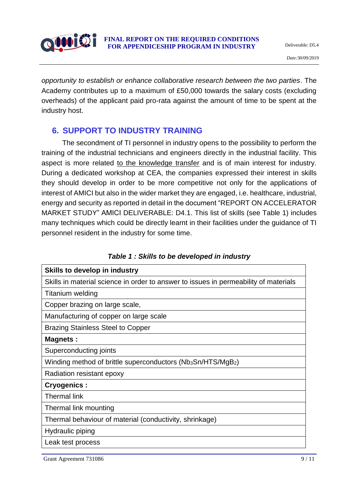

*opportunity to establish or enhance collaborative research between the two parties*. The Academy contributes up to a maximum of £50,000 towards the salary costs (excluding overheads) of the applicant paid pro-rata against the amount of time to be spent at the industry host.

### <span id="page-8-0"></span>**6. SUPPORT TO INDUSTRY TRAINING**

The secondment of TI personnel in industry opens to the possibility to perform the training of the industrial technicians and engineers directly in the industrial facility. This aspect is more related to the knowledge transfer and is of main interest for industry. During a dedicated workshop at CEA, the companies expressed their interest in skills they should develop in order to be more competitive not only for the applications of interest of AMICI but also in the wider market they are engaged, i.e. healthcare, industrial, energy and security as reported in detail in the document "REPORT ON ACCELERATOR MARKET STUDY" AMICI DELIVERABLE: D4.1. This list of skills (see Table 1) includes many techniques which could be directly learnt in their facilities under the guidance of TI personnel resident in the industry for some time.

| <b>Skills to develop in industry</b>                                                 |
|--------------------------------------------------------------------------------------|
| Skills in material science in order to answer to issues in permeability of materials |
| Titanium welding                                                                     |
| Copper brazing on large scale,                                                       |
| Manufacturing of copper on large scale                                               |
| <b>Brazing Stainless Steel to Copper</b>                                             |
| <b>Magnets:</b>                                                                      |
| Superconducting joints                                                               |
| Winding method of brittle superconductors (Nb <sub>3</sub> Sn/HTS/MgB <sub>2</sub> ) |
| Radiation resistant epoxy                                                            |
| <b>Cryogenics:</b>                                                                   |
| <b>Thermal link</b>                                                                  |
| Thermal link mounting                                                                |
| Thermal behaviour of material (conductivity, shrinkage)                              |
| Hydraulic piping                                                                     |
| Leak test process                                                                    |

|  |  |  |  |  |  |  |  | Table 1 : Skills to be developed in industry |  |
|--|--|--|--|--|--|--|--|----------------------------------------------|--|
|--|--|--|--|--|--|--|--|----------------------------------------------|--|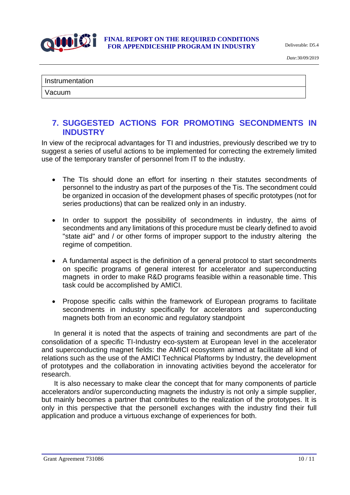

*Date:*30/09/2019

```
Instrumentation
```
### <span id="page-9-0"></span>**7. SUGGESTED ACTIONS FOR PROMOTING SECONDMENTS IN INDUSTRY**

In view of the reciprocal advantages for TI and industries, previously described we try to suggest a series of useful actions to be implemented for correcting the extremely limited use of the temporary transfer of personnel from IT to the industry.

- The TIs should done an effort for inserting n their statutes secondments of personnel to the industry as part of the purposes of the Tis. The secondment could be organized in occasion of the development phases of specific prototypes (not for series productions) that can be realized only in an industry.
- In order to support the possibility of secondments in industry, the aims of secondments and any limitations of this procedure must be clearly defined to avoid "state aid" and / or other forms of improper support to the industry altering the regime of competition.
- A fundamental aspect is the definition of a general protocol to start secondments on specific programs of general interest for accelerator and superconducting magnets in order to make R&D programs feasible within a reasonable time. This task could be accomplished by AMICI.
- Propose specific calls within the framework of European programs to facilitate secondments in industry specifically for accelerators and superconducting magnets both from an economic and regulatory standpoint

In general it is noted that the aspects of training and secondments are part of the consolidation of a specific TI-Industry eco-system at European level in the accelerator and superconducting magnet fields: the AMICI ecosystem aimed at facilitate all kind of relations such as the use of the AMICI Technical Plaftorms by Industry, the development of prototypes and the collaboration in innovating activities beyond the accelerator for research.

<span id="page-9-1"></span>It is also necessary to make clear the concept that for many components of particle accelerators and/or superconducting magnets the industry is not only a simple supplier, but mainly becomes a partner that contributes to the realization of the prototypes. It is only in this perspective that the personell exchanges with the industry find their full application and produce a virtuous exchange of experiences for both.